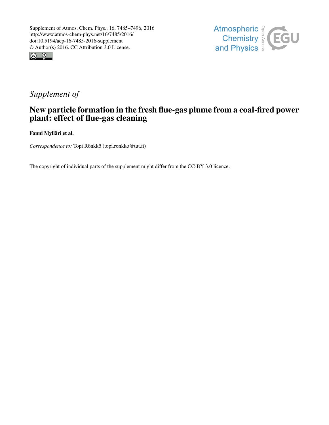



# *Supplement of*

## New particle formation in the fresh flue-gas plume from a coal-fired power plant: effect of flue-gas cleaning

Fanni Mylläri et al.

*Correspondence to:* Topi Rönkkö (topi.ronkko@tut.fi)

The copyright of individual parts of the supplement might differ from the CC-BY 3.0 licence.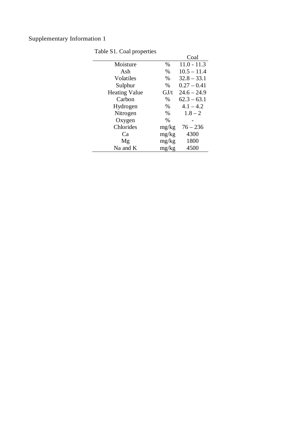| 5.1                  |       | Coal          |  |  |
|----------------------|-------|---------------|--|--|
| Moisture             | $\%$  | $11.0 - 11.3$ |  |  |
| Ash                  | $\%$  | $10.5 - 11.4$ |  |  |
| Volatiles            | $\%$  | $32.8 - 33.1$ |  |  |
| Sulphur              | $\%$  | $0.27 - 0.41$ |  |  |
| <b>Heating Value</b> | GJ/t  | $24.6 - 24.9$ |  |  |
| Carbon               | $\%$  | $62.3 - 63.1$ |  |  |
| Hydrogen             | $\%$  | $4.1 - 4.2$   |  |  |
| Nitrogen             | $\%$  | $1.8 - 2$     |  |  |
| Oxygen               | $\%$  |               |  |  |
| Chlorides            | mg/kg | $76 - 236$    |  |  |
| Ca                   | mg/kg | 4300          |  |  |
| Mg                   | mg/kg | 1800          |  |  |
| $Na$ and $K$         | mg/kg | 4500          |  |  |

Table S1. Coal properties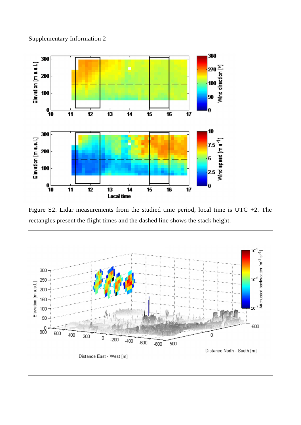



Figure S2. Lidar measurements from the studied time period, local time is UTC +2. The rectangles present the flight times and the dashed line shows the stack height.

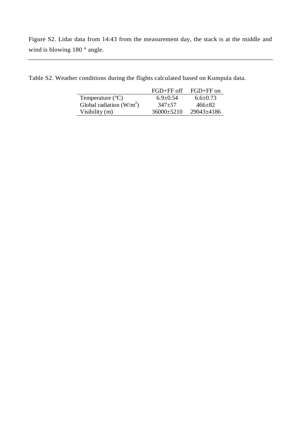Figure S2. Lidar data from 14:43 from the measurement day, the stack is at the middle and wind is blowing 180 ° angle.

|                             | $FGD + FF$ off | $FGD + FF$ on  |
|-----------------------------|----------------|----------------|
| Temperature $({}^{\circ}C)$ | $6.9 + 0.54$   | $6.6 \pm 0.73$ |
| Global radiation $(W/m^2)$  | $347+57$       | $466+82$       |
| Visibility (m)              | $36000+5210$   | $29043\pm4186$ |

Table S2. Weather conditions during the flights calculated based on Kumpula data.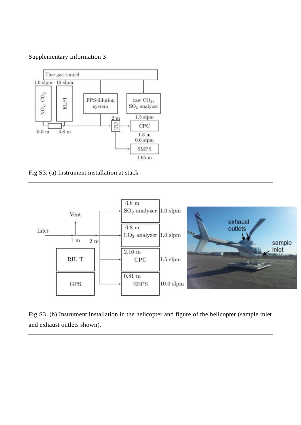

Fig S3. (a) Instrument installation at stack



Fig S3. (b) Instrument installation in the helicopter and figure of the helicopter (sample inlet and exhaust outlets shown).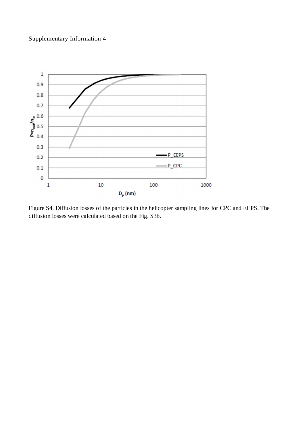

Figure S4. Diffusion losses of the particles in the helicopter sampling lines for CPC and EEPS. The diffusion losses were calculated based on the Fig. S3b.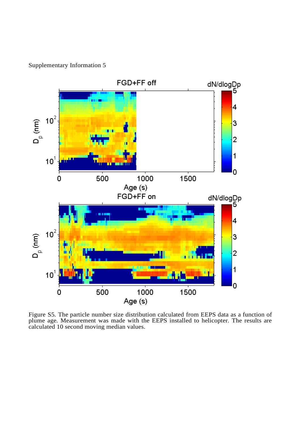

Figure S5. The particle number size distribution calculated from EEPS data as a function of plume age. Measurement was made with the EEPS installed to helicopter. The results are calculated 10 second moving median values.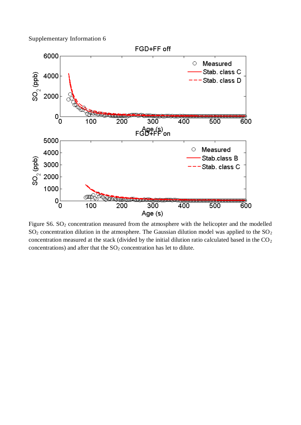

Figure S6. SO<sub>2</sub> concentration measured from the atmosphere with the helicopter and the modelled  $SO<sub>2</sub>$  concentration dilution in the atmosphere. The Gaussian dilution model was applied to the  $SO<sub>2</sub>$ concentration measured at the stack (divided by the initial dilution ratio calculated based in the  $CO<sub>2</sub>$ concentrations) and after that the  $SO<sub>2</sub>$  concentration has let to dilute.